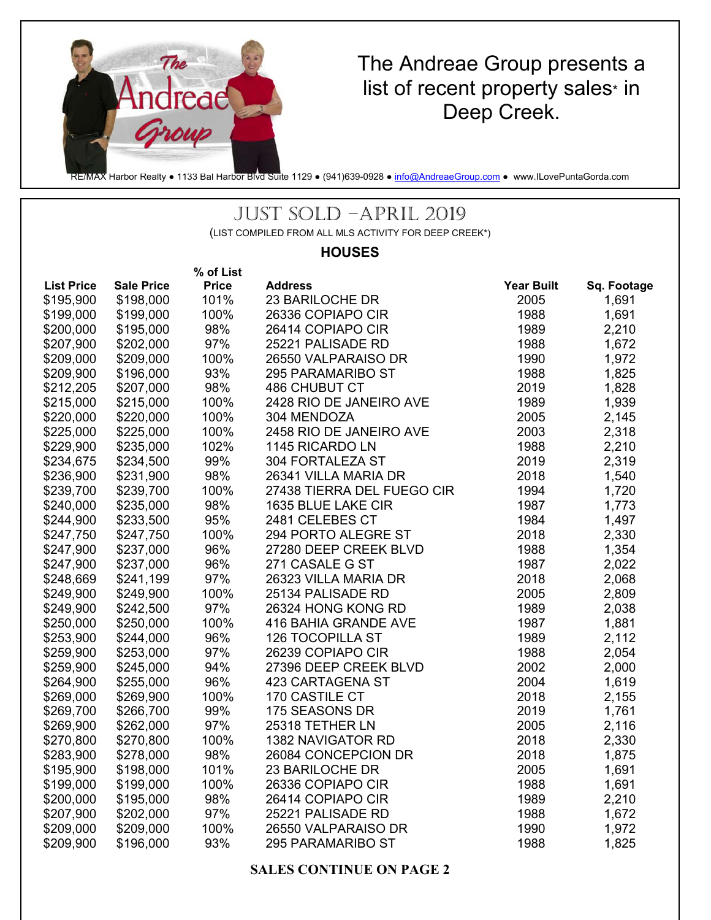

## The Andreae Group presents a list of recent property sales\* in Deep Creek.

RE/MAX Harbor Realty ● 1133 Bal Harbor Blvd Suite 1129 ● (941)639-0928 ● info@AndreaeGroup.com ● www.ILovePuntaGorda.com

### JUST SOLD –APRIL 2019

(LIST COMPILED FROM ALL MLS ACTIVITY FOR DEEP CREEK\*)

### **HOUSES**

|                   |                   | % of List    |                            |                   |             |
|-------------------|-------------------|--------------|----------------------------|-------------------|-------------|
| <b>List Price</b> | <b>Sale Price</b> | <b>Price</b> | <b>Address</b>             | <b>Year Built</b> | Sq. Footage |
| \$195,900         | \$198,000         | 101%         | 23 BARILOCHE DR            | 2005              | 1,691       |
| \$199,000         | \$199,000         | 100%         | 26336 COPIAPO CIR          | 1988              | 1,691       |
| \$200,000         | \$195,000         | 98%          | 26414 COPIAPO CIR          | 1989              | 2,210       |
| \$207,900         | \$202,000         | 97%          | 25221 PALISADE RD          | 1988              | 1,672       |
| \$209,000         | \$209,000         | 100%         | 26550 VALPARAISO DR        | 1990              | 1,972       |
| \$209,900         | \$196,000         | 93%          | 295 PARAMARIBO ST          | 1988              | 1,825       |
| \$212,205         | \$207,000         | 98%          | 486 CHUBUT CT              | 2019              | 1,828       |
| \$215,000         | \$215,000         | 100%         | 2428 RIO DE JANEIRO AVE    | 1989              | 1,939       |
| \$220,000         | \$220,000         | 100%         | 304 MENDOZA                | 2005              | 2,145       |
| \$225,000         | \$225,000         | 100%         | 2458 RIO DE JANEIRO AVE    | 2003              | 2,318       |
| \$229,900         | \$235,000         | 102%         | 1145 RICARDO LN            | 1988              | 2,210       |
| \$234,675         | \$234,500         | 99%          | 304 FORTALEZA ST           | 2019              | 2,319       |
| \$236,900         | \$231,900         | 98%          | 26341 VILLA MARIA DR       | 2018              | 1,540       |
| \$239,700         | \$239,700         | 100%         | 27438 TIERRA DEL FUEGO CIR | 1994              | 1,720       |
| \$240,000         | \$235,000         | 98%          | 1635 BLUE LAKE CIR         | 1987              | 1,773       |
| \$244,900         | \$233,500         | 95%          | 2481 CELEBES CT            | 1984              | 1,497       |
| \$247,750         | \$247,750         | 100%         | 294 PORTO ALEGRE ST        | 2018              | 2,330       |
| \$247,900         | \$237,000         | 96%          | 27280 DEEP CREEK BLVD      | 1988              | 1,354       |
| \$247,900         | \$237,000         | 96%          | 271 CASALE G ST            | 1987              | 2,022       |
| \$248,669         | \$241,199         | 97%          | 26323 VILLA MARIA DR       | 2018              | 2,068       |
| \$249,900         | \$249,900         | 100%         | 25134 PALISADE RD          | 2005              | 2,809       |
| \$249,900         | \$242,500         | 97%          | 26324 HONG KONG RD         | 1989              | 2,038       |
| \$250,000         | \$250,000         | 100%         | 416 BAHIA GRANDE AVE       | 1987              | 1,881       |
| \$253,900         | \$244,000         | 96%          | <b>126 TOCOPILLA ST</b>    | 1989              | 2,112       |
| \$259,900         | \$253,000         | 97%          | 26239 COPIAPO CIR          | 1988              | 2,054       |
| \$259,900         | \$245,000         | 94%          | 27396 DEEP CREEK BLVD      | 2002              | 2,000       |
| \$264,900         | \$255,000         | 96%          | 423 CARTAGENA ST           | 2004              | 1,619       |
| \$269,000         | \$269,900         | 100%         | 170 CASTILE CT             | 2018              | 2,155       |
| \$269,700         | \$266,700         | 99%          | 175 SEASONS DR             | 2019              | 1,761       |
| \$269,900         | \$262,000         | 97%          | 25318 TETHER LN            | 2005              | 2,116       |
| \$270,800         | \$270,800         | 100%         | 1382 NAVIGATOR RD          | 2018              | 2,330       |
| \$283,900         | \$278,000         | 98%          | 26084 CONCEPCION DR        | 2018              | 1,875       |
| \$195,900         | \$198,000         | 101%         | 23 BARILOCHE DR            | 2005              | 1,691       |
| \$199,000         | \$199,000         | 100%         | 26336 COPIAPO CIR          | 1988              | 1,691       |
| \$200,000         | \$195,000         | 98%          | 26414 COPIAPO CIR          | 1989              | 2,210       |
| \$207,900         | \$202,000         | 97%          | 25221 PALISADE RD          | 1988              | 1,672       |
| \$209,000         | \$209,000         | 100%         | 26550 VALPARAISO DR        | 1990              | 1,972       |
| \$209,900         | \$196,000         | 93%          | 295 PARAMARIBO ST          | 1988              | 1,825       |

### **SALES CONTINUE ON PAGE 2**